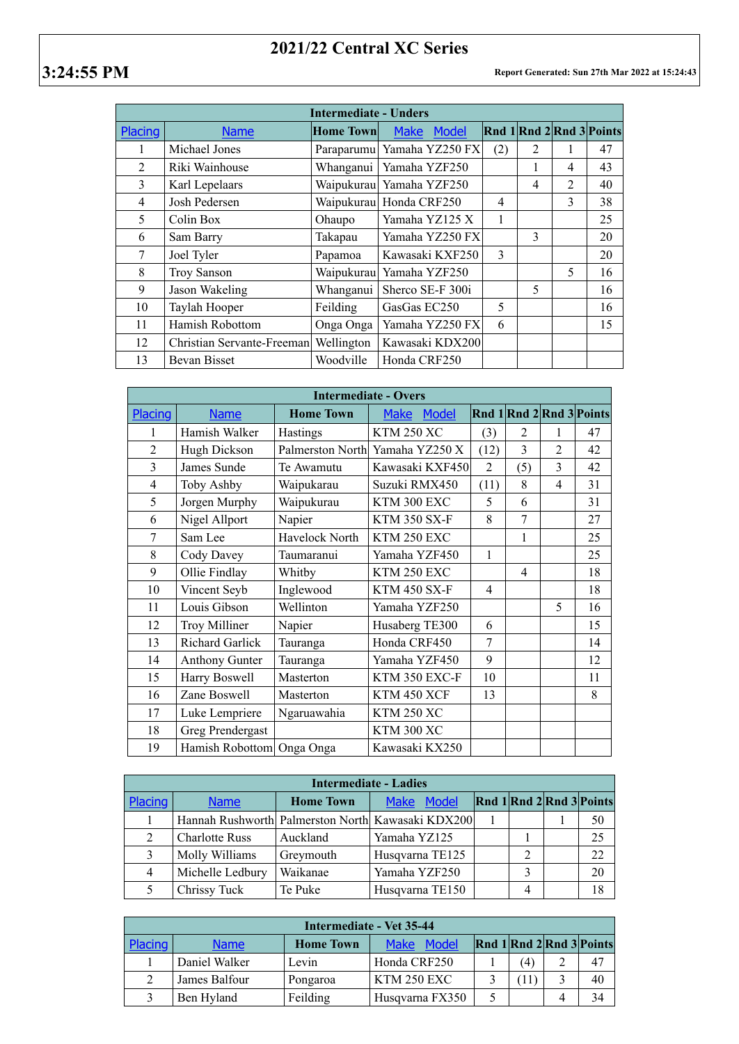## **2021/22 Central XC Series**

| <b>Intermediate - Unders</b> |                            |                  |                              |               |                |                |                                                                                                                    |  |  |
|------------------------------|----------------------------|------------------|------------------------------|---------------|----------------|----------------|--------------------------------------------------------------------------------------------------------------------|--|--|
| Placing                      | <b>Name</b>                | <b>Home Town</b> | <b>Model</b><br><b>Make</b>  |               |                |                | $\left  \text{Rnd} \right  1 \left  \text{Rnd} \right  2 \left  \text{Rnd} \right  3 \left  \text{Points} \right $ |  |  |
|                              | Michael Jones              |                  | Paraparumu   Yamaha YZ250 FX | (2)           | $\overline{2}$ |                | 47                                                                                                                 |  |  |
| $\overline{2}$               | Riki Wainhouse             | Whanganui        | Yamaha YZF250                |               | 1              | 4              | 43                                                                                                                 |  |  |
| 3                            | Karl Lepelaars             |                  | Waipukurau Yamaha YZF250     |               | $\overline{4}$ | $\mathfrak{D}$ | 40                                                                                                                 |  |  |
| $\overline{4}$               | Josh Pedersen              |                  | Waipukurau Honda CRF250      | 4             |                | 3              | 38                                                                                                                 |  |  |
| 5                            | Colin Box                  | Ohaupo           | Yamaha YZ125 X               | 1             |                |                | 25                                                                                                                 |  |  |
| 6                            | Sam Barry                  | Takapau          | Yamaha YZ250 FX              |               | 3              |                | 20                                                                                                                 |  |  |
| 7                            | Joel Tyler                 | Papamoa          | Kawasaki KXF250              | $\mathcal{E}$ |                |                | 20                                                                                                                 |  |  |
| 8                            | Troy Sanson                |                  | Waipukurau Yamaha YZF250     |               |                | 5              | 16                                                                                                                 |  |  |
| 9                            | Jason Wakeling             | Whanganui        | Sherco SE-F 300i             |               | 5              |                | 16                                                                                                                 |  |  |
| 10                           | Taylah Hooper              | Feilding         | GasGas EC250                 | 5             |                |                | 16                                                                                                                 |  |  |
| 11                           | Hamish Robottom            | Onga Onga        | Yamaha YZ250 FX              | 6             |                |                | 15                                                                                                                 |  |  |
| 12                           | Christian Servante-Freeman | Wellington       | Kawasaki KDX200              |               |                |                |                                                                                                                    |  |  |
| 13                           | Bevan Bisset               | Woodville        | Honda CRF250                 |               |                |                |                                                                                                                    |  |  |

| <b>Intermediate - Overs</b> |                        |                  |                      |                |                |                |                          |  |  |
|-----------------------------|------------------------|------------------|----------------------|----------------|----------------|----------------|--------------------------|--|--|
| Placing                     | <b>Name</b>            | <b>Home Town</b> | <b>Model</b><br>Make |                |                |                | Rnd 1 Rnd 2 Rnd 3 Points |  |  |
| 1                           | Hamish Walker          | Hastings         | <b>KTM 250 XC</b>    | (3)            | $\overline{2}$ | 1              | 47                       |  |  |
| $\overline{2}$              | Hugh Dickson           | Palmerston North | Yamaha YZ250 X       | (12)           | 3              | $\overline{2}$ | 42                       |  |  |
| 3                           | James Sunde            | Te Awamutu       | Kawasaki KXF450      | $\overline{2}$ | (5)            | 3              | 42                       |  |  |
| 4                           | Toby Ashby             | Waipukarau       | Suzuki RMX450        | (11)           | 8              | 4              | 31                       |  |  |
| 5                           | Jorgen Murphy          | Waipukurau       | KTM 300 EXC          | 5              | 6              |                | 31                       |  |  |
| 6                           | Nigel Allport          | Napier           | <b>KTM 350 SX-F</b>  | 8              | 7              |                | 27                       |  |  |
| 7                           | Sam Lee                | Havelock North   | KTM 250 EXC          |                | 1              |                | 25                       |  |  |
| 8                           | Cody Davey             | Taumaranui       | Yamaha YZF450        | 1              |                |                | 25                       |  |  |
| 9                           | Ollie Findlay          | Whitby           | KTM 250 EXC          |                | $\overline{4}$ |                | 18                       |  |  |
| 10                          | Vincent Seyb           | Inglewood        | <b>KTM 450 SX-F</b>  | 4              |                |                | 18                       |  |  |
| 11                          | Louis Gibson           | Wellinton        | Yamaha YZF250        |                |                | 5              | 16                       |  |  |
| 12                          | Troy Milliner          | Napier           | Husaberg TE300       | 6              |                |                | 15                       |  |  |
| 13                          | <b>Richard Garlick</b> | Tauranga         | Honda CRF450         | $\overline{7}$ |                |                | 14                       |  |  |
| 14                          | <b>Anthony Gunter</b>  | Tauranga         | Yamaha YZF450        | 9              |                |                | 12                       |  |  |
| 15                          | Harry Boswell          | Masterton        | KTM 350 EXC-F        | 10             |                |                | 11                       |  |  |
| 16                          | Zane Boswell           | Masterton        | KTM 450 XCF          | 13             |                |                | 8                        |  |  |
| 17                          | Luke Lempriere         | Ngaruawahia      | <b>KTM 250 XC</b>    |                |                |                |                          |  |  |
| 18                          | Greg Prendergast       |                  | <b>KTM 300 XC</b>    |                |                |                |                          |  |  |
| 19                          | Hamish Robottom        | Onga Onga        | Kawasaki KX250       |                |                |                |                          |  |  |

| <b>Intermediate - Ladies</b> |                       |                  |                                                   |  |   |  |                          |  |  |
|------------------------------|-----------------------|------------------|---------------------------------------------------|--|---|--|--------------------------|--|--|
| Placing                      | <b>Name</b>           | <b>Home Town</b> | <b>Model</b><br><b>Make</b>                       |  |   |  | Rnd 1 Rnd 2 Rnd 3 Points |  |  |
|                              |                       |                  | Hannah Rushworth Palmerston North Kawasaki KDX200 |  |   |  | 50                       |  |  |
|                              | <b>Charlotte Russ</b> | Auckland         | Yamaha YZ125                                      |  |   |  | 25                       |  |  |
|                              | Molly Williams        | Greymouth        | Husqvarna TE125                                   |  | 2 |  | 22                       |  |  |
| 4                            | Michelle Ledbury      | Waikanae         | Yamaha YZF250                                     |  |   |  | 20                       |  |  |
|                              | Chrissy Tuck          | Te Puke          | Husqvarna TE150                                   |  |   |  | 18                       |  |  |

| Intermediate - Vet 35-44 |               |                  |                      |  |     |                          |    |  |
|--------------------------|---------------|------------------|----------------------|--|-----|--------------------------|----|--|
| Placing                  | <b>Name</b>   | <b>Home Town</b> | Model<br><b>Make</b> |  |     | Rnd 1 Rnd 2 Rnd 3 Points |    |  |
|                          | Daniel Walker | Levin            | Honda CRF250         |  | (4) |                          | 47 |  |
|                          | James Balfour | Pongaroa         | KTM 250 EXC          |  |     |                          | 40 |  |
|                          | Ben Hyland    | Feilding         | Husqvarna FX350      |  |     |                          | 34 |  |